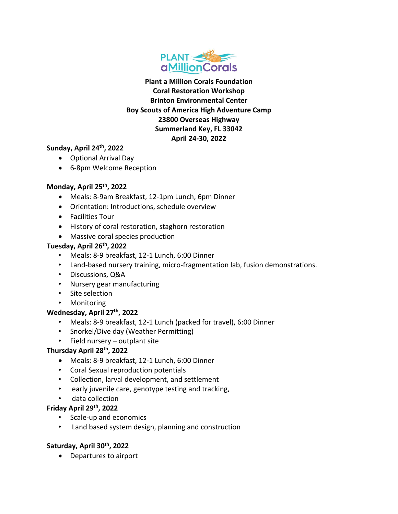

**Plant a Million Corals Foundation Coral Restoration Workshop Brinton Environmental Center Boy Scouts of America High Adventure Camp 23800 Overseas Highway Summerland Key, FL 33042 April 24‐30, 2022**

#### **Sunday, April 24th, 2022**

- Optional Arrival Day
- 6-8pm Welcome Reception

#### **Monday, April 25th, 2022**

- Meals: 8‐9am Breakfast, 12‐1pm Lunch, 6pm Dinner
- Orientation: Introductions, schedule overview
- Facilities Tour
- History of coral restoration, staghorn restoration
- Massive coral species production

#### **Tuesday, April 26th, 2022**

- Meals: 8‐9 breakfast, 12‐1 Lunch, 6:00 Dinner
- Land-based nursery training, micro-fragmentation lab, fusion demonstrations.
- Discussions, Q&A
- Nursery gear manufacturing
- Site selection
- Monitoring

#### **Wednesday, April 27th, 2022**

- Meals: 8-9 breakfast, 12-1 Lunch (packed for travel), 6:00 Dinner
- Snorkel/Dive day (Weather Permitting)
- Field nursery outplant site

## **Thursday April 28th, 2022**

- Meals: 8‐9 breakfast, 12‐1 Lunch, 6:00 Dinner
- Coral Sexual reproduction potentials
- Collection, larval development, and settlement
- early juvenile care, genotype testing and tracking,
- data collection

#### **Friday April 29th, 2022**

- Scale‐up and economics
- Land based system design, planning and construction

## **Saturday, April 30th, 2022**

Departures to airport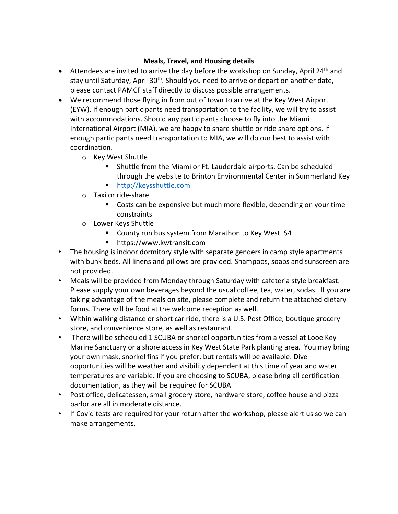### **Meals, Travel, and Housing details**

- Attendees are invited to arrive the day before the workshop on Sunday, April 24<sup>th</sup> and stay until Saturday, April 30<sup>th</sup>. Should you need to arrive or depart on another date, please contact PAMCF staff directly to discuss possible arrangements.
- We recommend those flying in from out of town to arrive at the Key West Airport (EYW). If enough participants need transportation to the facility, we will try to assist with accommodations. Should any participants choose to fly into the Miami International Airport (MIA), we are happy to share shuttle or ride share options. If enough participants need transportation to MIA, we will do our best to assist with coordination.
	- o Key West Shuttle
		- Shuttle from the Miami or Ft. Lauderdale airports. Can be scheduled through the website to Brinton Environmental Center in Summerland Key
		- http://keysshuttle.com
	- o Taxi or ride‐share
		- Costs can be expensive but much more flexible, depending on your time constraints
	- o Lower Keys Shuttle
		- County run bus system from Marathon to Key West. \$4
		- https://www.kwtransit.com
- The housing is indoor dormitory style with separate genders in camp style apartments with bunk beds. All linens and pillows are provided. Shampoos, soaps and sunscreen are not provided.
- Meals will be provided from Monday through Saturday with cafeteria style breakfast. Please supply your own beverages beyond the usual coffee, tea, water, sodas. If you are taking advantage of the meals on site, please complete and return the attached dietary forms. There will be food at the welcome reception as well.
- Within walking distance or short car ride, there is a U.S. Post Office, boutique grocery store, and convenience store, as well as restaurant.
- There will be scheduled 1 SCUBA or snorkel opportunities from a vessel at Looe Key Marine Sanctuary or a shore access in Key West State Park planting area. You may bring your own mask, snorkel fins if you prefer, but rentals will be available. Dive opportunities will be weather and visibility dependent at this time of year and water temperatures are variable. If you are choosing to SCUBA, please bring all certification documentation, as they will be required for SCUBA
- Post office, delicatessen, small grocery store, hardware store, coffee house and pizza parlor are all in moderate distance.
- If Covid tests are required for your return after the workshop, please alert us so we can make arrangements.